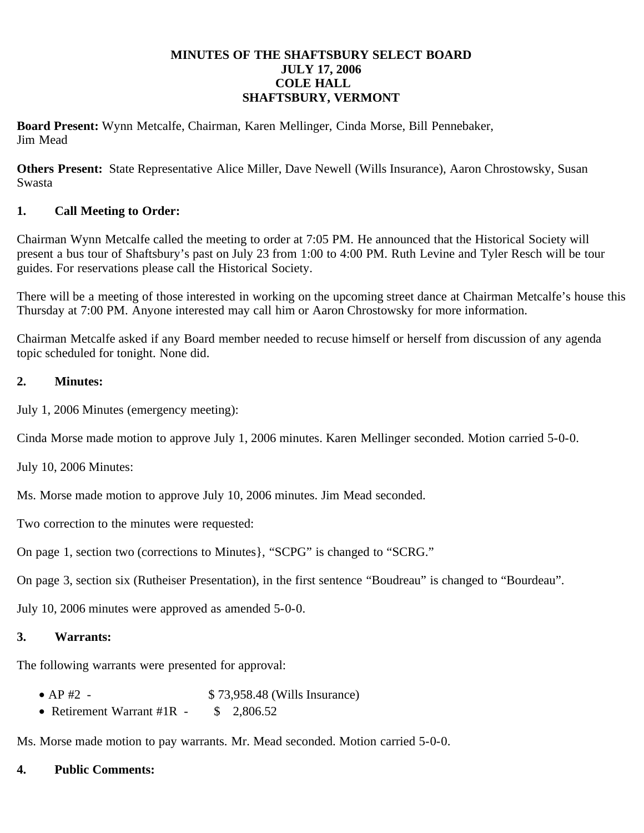#### **MINUTES OF THE SHAFTSBURY SELECT BOARD JULY 17, 2006 COLE HALL SHAFTSBURY, VERMONT**

**Board Present:** Wynn Metcalfe, Chairman, Karen Mellinger, Cinda Morse, Bill Pennebaker, Jim Mead

**Others Present:** State Representative Alice Miller, Dave Newell (Wills Insurance), Aaron Chrostowsky, Susan Swasta

# **1. Call Meeting to Order:**

Chairman Wynn Metcalfe called the meeting to order at 7:05 PM. He announced that the Historical Society will present a bus tour of Shaftsbury's past on July 23 from 1:00 to 4:00 PM. Ruth Levine and Tyler Resch will be tour guides. For reservations please call the Historical Society.

There will be a meeting of those interested in working on the upcoming street dance at Chairman Metcalfe's house this Thursday at 7:00 PM. Anyone interested may call him or Aaron Chrostowsky for more information.

Chairman Metcalfe asked if any Board member needed to recuse himself or herself from discussion of any agenda topic scheduled for tonight. None did.

# **2. Minutes:**

July 1, 2006 Minutes (emergency meeting):

Cinda Morse made motion to approve July 1, 2006 minutes. Karen Mellinger seconded. Motion carried 5-0-0.

July 10, 2006 Minutes:

Ms. Morse made motion to approve July 10, 2006 minutes. Jim Mead seconded.

Two correction to the minutes were requested:

On page 1, section two (corrections to Minutes}, "SCPG" is changed to "SCRG."

On page 3, section six (Rutheiser Presentation), in the first sentence "Boudreau" is changed to "Bourdeau".

July 10, 2006 minutes were approved as amended 5-0-0.

### **3. Warrants:**

The following warrants were presented for approval:

- AP #2 \$ 73,958.48 (Wills Insurance)
- Retirement Warrant #1R \$ 2,806.52

Ms. Morse made motion to pay warrants. Mr. Mead seconded. Motion carried 5-0-0.

### **4. Public Comments:**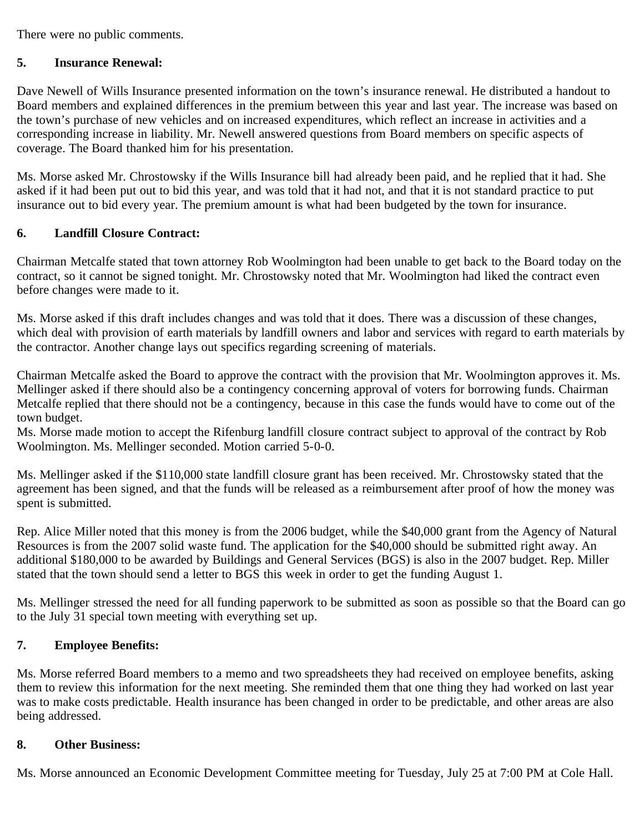There were no public comments.

### **5. Insurance Renewal:**

Dave Newell of Wills Insurance presented information on the town's insurance renewal. He distributed a handout to Board members and explained differences in the premium between this year and last year. The increase was based on the town's purchase of new vehicles and on increased expenditures, which reflect an increase in activities and a corresponding increase in liability. Mr. Newell answered questions from Board members on specific aspects of coverage. The Board thanked him for his presentation.

Ms. Morse asked Mr. Chrostowsky if the Wills Insurance bill had already been paid, and he replied that it had. She asked if it had been put out to bid this year, and was told that it had not, and that it is not standard practice to put insurance out to bid every year. The premium amount is what had been budgeted by the town for insurance.

### **6. Landfill Closure Contract:**

Chairman Metcalfe stated that town attorney Rob Woolmington had been unable to get back to the Board today on the contract, so it cannot be signed tonight. Mr. Chrostowsky noted that Mr. Woolmington had liked the contract even before changes were made to it.

Ms. Morse asked if this draft includes changes and was told that it does. There was a discussion of these changes, which deal with provision of earth materials by landfill owners and labor and services with regard to earth materials by the contractor. Another change lays out specifics regarding screening of materials.

Chairman Metcalfe asked the Board to approve the contract with the provision that Mr. Woolmington approves it. Ms. Mellinger asked if there should also be a contingency concerning approval of voters for borrowing funds. Chairman Metcalfe replied that there should not be a contingency, because in this case the funds would have to come out of the town budget.

Ms. Morse made motion to accept the Rifenburg landfill closure contract subject to approval of the contract by Rob Woolmington. Ms. Mellinger seconded. Motion carried 5-0-0.

Ms. Mellinger asked if the \$110,000 state landfill closure grant has been received. Mr. Chrostowsky stated that the agreement has been signed, and that the funds will be released as a reimbursement after proof of how the money was spent is submitted.

Rep. Alice Miller noted that this money is from the 2006 budget, while the \$40,000 grant from the Agency of Natural Resources is from the 2007 solid waste fund. The application for the \$40,000 should be submitted right away. An additional \$180,000 to be awarded by Buildings and General Services (BGS) is also in the 2007 budget. Rep. Miller stated that the town should send a letter to BGS this week in order to get the funding August 1.

Ms. Mellinger stressed the need for all funding paperwork to be submitted as soon as possible so that the Board can go to the July 31 special town meeting with everything set up.

### **7. Employee Benefits:**

Ms. Morse referred Board members to a memo and two spreadsheets they had received on employee benefits, asking them to review this information for the next meeting. She reminded them that one thing they had worked on last year was to make costs predictable. Health insurance has been changed in order to be predictable, and other areas are also being addressed.

### **8. Other Business:**

Ms. Morse announced an Economic Development Committee meeting for Tuesday, July 25 at 7:00 PM at Cole Hall.